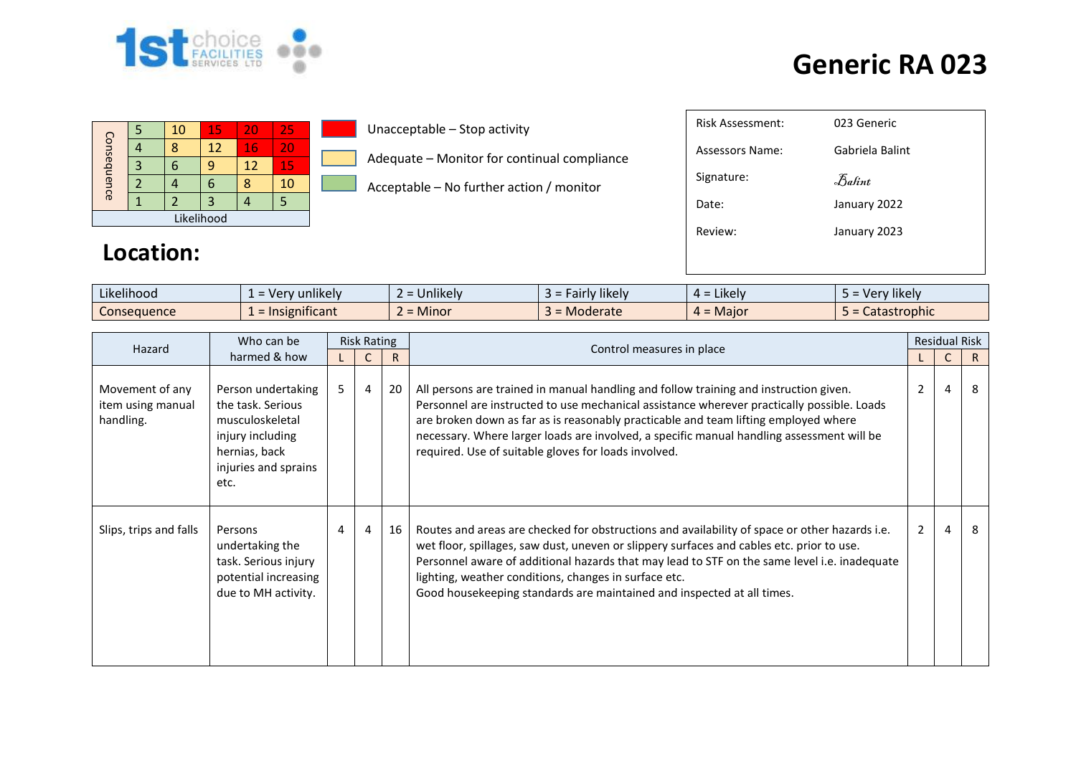

|             |  | 10 | 15 | 20 | 25 |  |  |  |  |  |
|-------------|--|----|----|----|----|--|--|--|--|--|
|             |  |    | 12 | 16 | 20 |  |  |  |  |  |
| Consequence |  |    |    | 12 | 15 |  |  |  |  |  |
|             |  |    | T  |    | 10 |  |  |  |  |  |
|             |  |    | 3  |    |    |  |  |  |  |  |
| Likelihood  |  |    |    |    |    |  |  |  |  |  |

**Location:**

#### Unacceptable – Stop activity

Adequate – Monitor for continual compliance

Acceptable – No further action / monitor

| Risk Assessment: | 023 Generic                    |
|------------------|--------------------------------|
| Assessors Name:  | Gabriela Balint                |
| Signature:       | $\mathcal{F}_{\mathit{abint}}$ |
| Date:            | January 2022                   |
| Review:          | January 2023                   |
|                  |                                |
|                  |                                |

| $\cdots$<br>.<br>Likelihood | $\cdots$<br>unlikely<br>$\overline{\phantom{0}}$<br>- ver<br>$\overline{\phantom{0}}$ | $\cdots$<br><b>Unlikely</b> | $\cdots$<br>likely<br>airly | $\cdot$ $\cdot$ $\cdot$<br><b>LIKEIV</b><br>$\sim$ | $\cdots$<br>$\sim$<br>likely<br>$\mathbf{u}$<br>cı |
|-----------------------------|---------------------------------------------------------------------------------------|-----------------------------|-----------------------------|----------------------------------------------------|----------------------------------------------------|
| Consequence                 | .<br>ำificant                                                                         | . .<br>Minor                | oderate                     | Maio <sup></sup><br>$\sim$<br>$\sim$               | astrophic                                          |

| Hazard                                            | Who can be                                                                                                                      |   | <b>Risk Rating</b> |    |                                                                                                                                                                                                                                                                                                                                                                                                                                 |                | <b>Residual Risk</b> |    |
|---------------------------------------------------|---------------------------------------------------------------------------------------------------------------------------------|---|--------------------|----|---------------------------------------------------------------------------------------------------------------------------------------------------------------------------------------------------------------------------------------------------------------------------------------------------------------------------------------------------------------------------------------------------------------------------------|----------------|----------------------|----|
| harmed & how                                      |                                                                                                                                 |   |                    | R  | Control measures in place                                                                                                                                                                                                                                                                                                                                                                                                       |                | C                    | R. |
| Movement of any<br>item using manual<br>handling. | Person undertaking<br>the task. Serious<br>musculoskeletal<br>injury including<br>hernias, back<br>injuries and sprains<br>etc. | 5 | $\overline{4}$     | 20 | All persons are trained in manual handling and follow training and instruction given.<br>Personnel are instructed to use mechanical assistance wherever practically possible. Loads<br>are broken down as far as is reasonably practicable and team lifting employed where<br>necessary. Where larger loads are involved, a specific manual handling assessment will be<br>required. Use of suitable gloves for loads involved. | 2              | 4                    | 8  |
| Slips, trips and falls                            | Persons<br>undertaking the<br>task. Serious injury<br>potential increasing<br>due to MH activity.                               | 4 | $\overline{4}$     | 16 | Routes and areas are checked for obstructions and availability of space or other hazards i.e.<br>wet floor, spillages, saw dust, uneven or slippery surfaces and cables etc. prior to use.<br>Personnel aware of additional hazards that may lead to STF on the same level i.e. inadequate<br>lighting, weather conditions, changes in surface etc.<br>Good housekeeping standards are maintained and inspected at all times.   | $\overline{2}$ | $\overline{4}$       | 8  |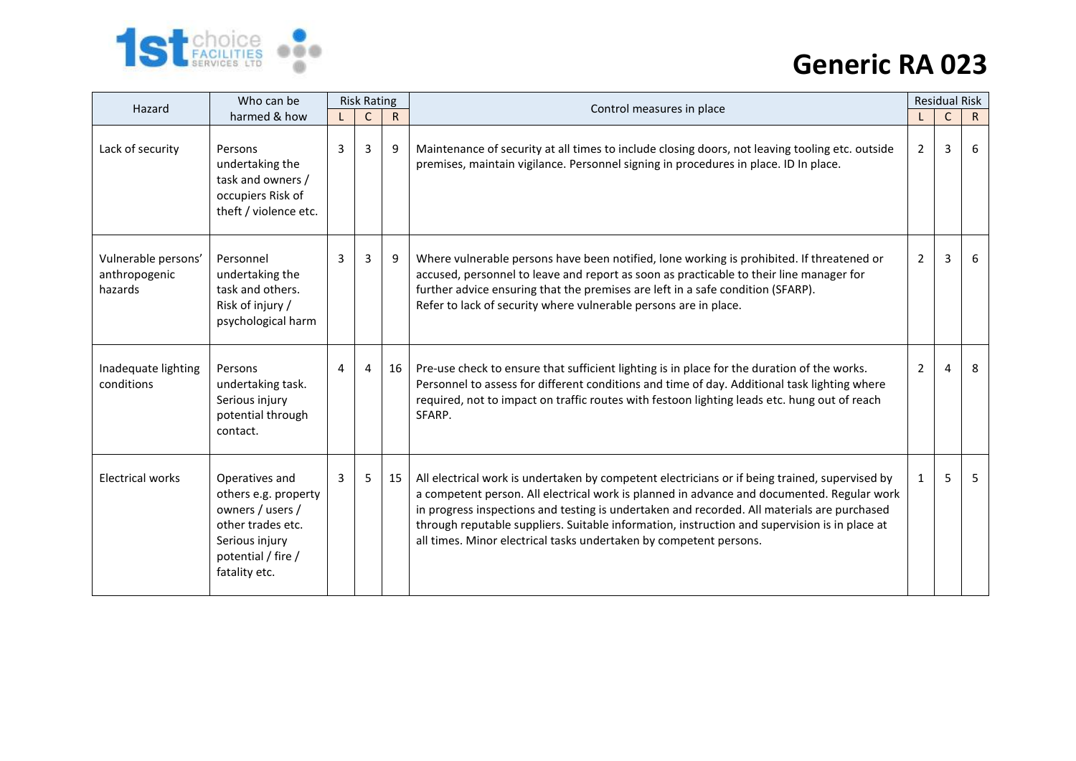

| Who can be<br>Hazard                            |                                                                                                                                          | <b>Risk Rating</b> |              |              |                                                                                                                                                                                                                                                                                                                                                                                                                                                                    |                | <b>Residual Risk</b> |              |
|-------------------------------------------------|------------------------------------------------------------------------------------------------------------------------------------------|--------------------|--------------|--------------|--------------------------------------------------------------------------------------------------------------------------------------------------------------------------------------------------------------------------------------------------------------------------------------------------------------------------------------------------------------------------------------------------------------------------------------------------------------------|----------------|----------------------|--------------|
|                                                 | harmed & how                                                                                                                             |                    | $\mathsf{C}$ | $\mathsf{R}$ | Control measures in place                                                                                                                                                                                                                                                                                                                                                                                                                                          |                | $\mathsf{C}$         | $\mathsf{R}$ |
| Lack of security                                | Persons<br>undertaking the<br>task and owners /<br>occupiers Risk of<br>theft / violence etc.                                            | 3                  | 3            | 9            | Maintenance of security at all times to include closing doors, not leaving tooling etc. outside<br>premises, maintain vigilance. Personnel signing in procedures in place. ID In place.                                                                                                                                                                                                                                                                            | 2              | 3                    | 6            |
| Vulnerable persons'<br>anthropogenic<br>hazards | Personnel<br>undertaking the<br>task and others.<br>Risk of injury /<br>psychological harm                                               | 3                  | 3            | 9            | Where vulnerable persons have been notified, lone working is prohibited. If threatened or<br>accused, personnel to leave and report as soon as practicable to their line manager for<br>further advice ensuring that the premises are left in a safe condition (SFARP).<br>Refer to lack of security where vulnerable persons are in place.                                                                                                                        | $\overline{2}$ | 3                    | 6            |
| Inadequate lighting<br>conditions               | Persons<br>undertaking task.<br>Serious injury<br>potential through<br>contact.                                                          | 4                  | 4            | 16           | Pre-use check to ensure that sufficient lighting is in place for the duration of the works.<br>Personnel to assess for different conditions and time of day. Additional task lighting where<br>required, not to impact on traffic routes with festoon lighting leads etc. hung out of reach<br>SFARP.                                                                                                                                                              | 2              | $\mathbf{\Lambda}$   | 8            |
| <b>Electrical works</b>                         | Operatives and<br>others e.g. property<br>owners / users /<br>other trades etc.<br>Serious injury<br>potential / fire /<br>fatality etc. | 3                  | 5            | 15           | All electrical work is undertaken by competent electricians or if being trained, supervised by<br>a competent person. All electrical work is planned in advance and documented. Regular work<br>in progress inspections and testing is undertaken and recorded. All materials are purchased<br>through reputable suppliers. Suitable information, instruction and supervision is in place at<br>all times. Minor electrical tasks undertaken by competent persons. |                | 5.                   | 5            |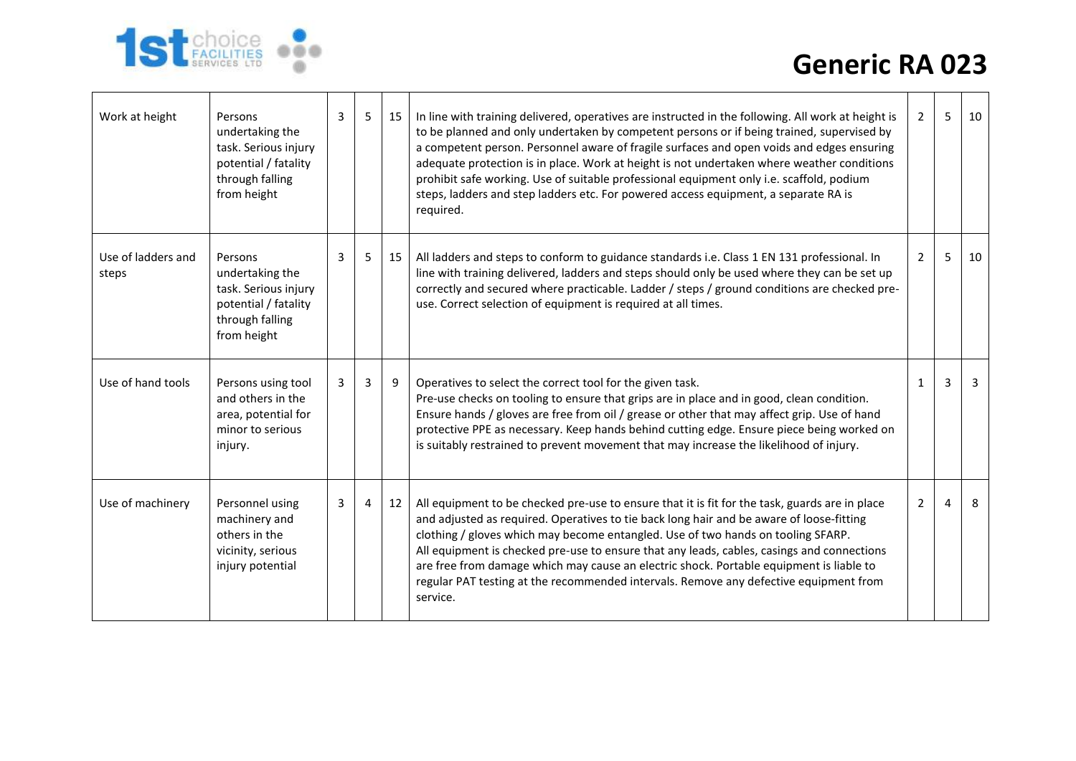

| Work at height              | Persons<br>undertaking the<br>task. Serious injury<br>potential / fatality<br>through falling<br>from height | 3 | 5              | 15 | In line with training delivered, operatives are instructed in the following. All work at height is<br>to be planned and only undertaken by competent persons or if being trained, supervised by<br>a competent person. Personnel aware of fragile surfaces and open voids and edges ensuring<br>adequate protection is in place. Work at height is not undertaken where weather conditions<br>prohibit safe working. Use of suitable professional equipment only i.e. scaffold, podium<br>steps, ladders and step ladders etc. For powered access equipment, a separate RA is<br>required. | 2              | 5 | 10 |
|-----------------------------|--------------------------------------------------------------------------------------------------------------|---|----------------|----|--------------------------------------------------------------------------------------------------------------------------------------------------------------------------------------------------------------------------------------------------------------------------------------------------------------------------------------------------------------------------------------------------------------------------------------------------------------------------------------------------------------------------------------------------------------------------------------------|----------------|---|----|
| Use of ladders and<br>steps | Persons<br>undertaking the<br>task. Serious injury<br>potential / fatality<br>through falling<br>from height | 3 | 5.             | 15 | All ladders and steps to conform to guidance standards i.e. Class 1 EN 131 professional. In<br>line with training delivered, ladders and steps should only be used where they can be set up<br>correctly and secured where practicable. Ladder / steps / ground conditions are checked pre-<br>use. Correct selection of equipment is required at all times.                                                                                                                                                                                                                               | 2              | 5 | 10 |
| Use of hand tools           | Persons using tool<br>and others in the<br>area, potential for<br>minor to serious<br>injury.                | 3 | $\overline{3}$ | 9  | Operatives to select the correct tool for the given task.<br>Pre-use checks on tooling to ensure that grips are in place and in good, clean condition.<br>Ensure hands / gloves are free from oil / grease or other that may affect grip. Use of hand<br>protective PPE as necessary. Keep hands behind cutting edge. Ensure piece being worked on<br>is suitably restrained to prevent movement that may increase the likelihood of injury.                                                                                                                                               | $\mathbf{1}$   | 3 | 3  |
| Use of machinery            | Personnel using<br>machinery and<br>others in the<br>vicinity, serious<br>injury potential                   | 3 | 4              | 12 | All equipment to be checked pre-use to ensure that it is fit for the task, guards are in place<br>and adjusted as required. Operatives to tie back long hair and be aware of loose-fitting<br>clothing / gloves which may become entangled. Use of two hands on tooling SFARP.<br>All equipment is checked pre-use to ensure that any leads, cables, casings and connections<br>are free from damage which may cause an electric shock. Portable equipment is liable to<br>regular PAT testing at the recommended intervals. Remove any defective equipment from<br>service.               | $\overline{2}$ | 4 | 8  |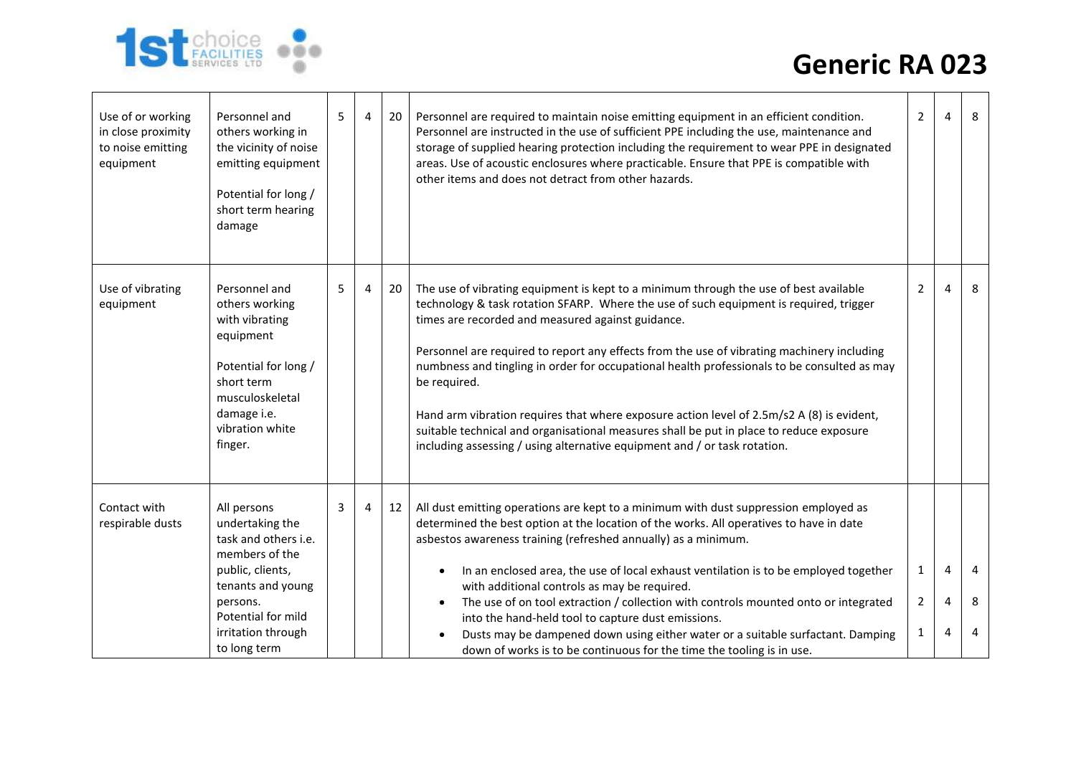

| Use of or working<br>in close proximity<br>to noise emitting<br>equipment | Personnel and<br>others working in<br>the vicinity of noise<br>emitting equipment<br>Potential for long /<br>short term hearing<br>damage                                                 | 5 | 4 | 20 | Personnel are required to maintain noise emitting equipment in an efficient condition.<br>Personnel are instructed in the use of sufficient PPE including the use, maintenance and<br>storage of supplied hearing protection including the requirement to wear PPE in designated<br>areas. Use of acoustic enclosures where practicable. Ensure that PPE is compatible with<br>other items and does not detract from other hazards.                                                                                                                                                                                                                                                                                    | $\overline{2}$                                 | 4           | 8           |
|---------------------------------------------------------------------------|-------------------------------------------------------------------------------------------------------------------------------------------------------------------------------------------|---|---|----|------------------------------------------------------------------------------------------------------------------------------------------------------------------------------------------------------------------------------------------------------------------------------------------------------------------------------------------------------------------------------------------------------------------------------------------------------------------------------------------------------------------------------------------------------------------------------------------------------------------------------------------------------------------------------------------------------------------------|------------------------------------------------|-------------|-------------|
| Use of vibrating<br>equipment                                             | Personnel and<br>others working<br>with vibrating<br>equipment<br>Potential for long /<br>short term<br>musculoskeletal<br>damage i.e.<br>vibration white<br>finger.                      | 5 | 4 | 20 | The use of vibrating equipment is kept to a minimum through the use of best available<br>technology & task rotation SFARP. Where the use of such equipment is required, trigger<br>times are recorded and measured against guidance.<br>Personnel are required to report any effects from the use of vibrating machinery including<br>numbness and tingling in order for occupational health professionals to be consulted as may<br>be required.<br>Hand arm vibration requires that where exposure action level of 2.5m/s2 A (8) is evident,<br>suitable technical and organisational measures shall be put in place to reduce exposure<br>including assessing / using alternative equipment and / or task rotation. | $\overline{2}$                                 | 4           | 8           |
| Contact with<br>respirable dusts                                          | All persons<br>undertaking the<br>task and others i.e.<br>members of the<br>public, clients,<br>tenants and young<br>persons.<br>Potential for mild<br>irritation through<br>to long term | 3 | 4 | 12 | All dust emitting operations are kept to a minimum with dust suppression employed as<br>determined the best option at the location of the works. All operatives to have in date<br>asbestos awareness training (refreshed annually) as a minimum.<br>In an enclosed area, the use of local exhaust ventilation is to be employed together<br>with additional controls as may be required.<br>The use of on tool extraction / collection with controls mounted onto or integrated<br>$\bullet$<br>into the hand-held tool to capture dust emissions.<br>Dusts may be dampened down using either water or a suitable surfactant. Damping<br>down of works is to be continuous for the time the tooling is in use.        | $\mathbf{1}$<br>$\overline{2}$<br>$\mathbf{1}$ | 4<br>4<br>4 | 4<br>8<br>4 |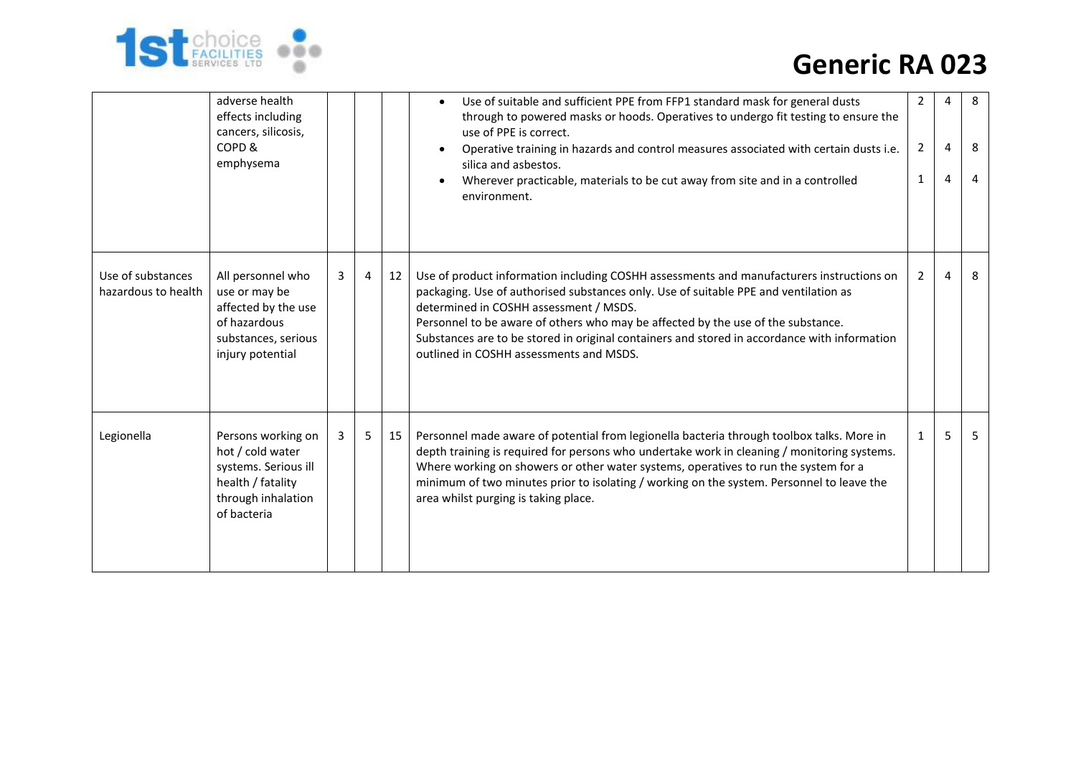

|                                          | adverse health<br>effects including<br>cancers, silicosis,<br>COPD &<br>emphysema                                        |   |                |    | Use of suitable and sufficient PPE from FFP1 standard mask for general dusts<br>$\bullet$<br>through to powered masks or hoods. Operatives to undergo fit testing to ensure the<br>use of PPE is correct.<br>Operative training in hazards and control measures associated with certain dusts i.e.<br>silica and asbestos.<br>Wherever practicable, materials to be cut away from site and in a controlled<br>environment.                                | 2<br>$\overline{2}$<br>$\mathbf{1}$ | 4<br>4<br>4 | 8<br>8<br>4 |
|------------------------------------------|--------------------------------------------------------------------------------------------------------------------------|---|----------------|----|-----------------------------------------------------------------------------------------------------------------------------------------------------------------------------------------------------------------------------------------------------------------------------------------------------------------------------------------------------------------------------------------------------------------------------------------------------------|-------------------------------------|-------------|-------------|
| Use of substances<br>hazardous to health | All personnel who<br>use or may be<br>affected by the use<br>of hazardous<br>substances, serious<br>injury potential     | 3 | $\overline{4}$ | 12 | Use of product information including COSHH assessments and manufacturers instructions on<br>packaging. Use of authorised substances only. Use of suitable PPE and ventilation as<br>determined in COSHH assessment / MSDS.<br>Personnel to be aware of others who may be affected by the use of the substance.<br>Substances are to be stored in original containers and stored in accordance with information<br>outlined in COSHH assessments and MSDS. | $\overline{2}$                      | 4           | 8           |
| Legionella                               | Persons working on<br>hot / cold water<br>systems. Serious ill<br>health / fatality<br>through inhalation<br>of bacteria | 3 | 5              | 15 | Personnel made aware of potential from legionella bacteria through toolbox talks. More in<br>depth training is required for persons who undertake work in cleaning / monitoring systems.<br>Where working on showers or other water systems, operatives to run the system for a<br>minimum of two minutes prior to isolating / working on the system. Personnel to leave the<br>area whilst purging is taking place.                                      | $\mathbf{1}$                        | 5           | 5           |